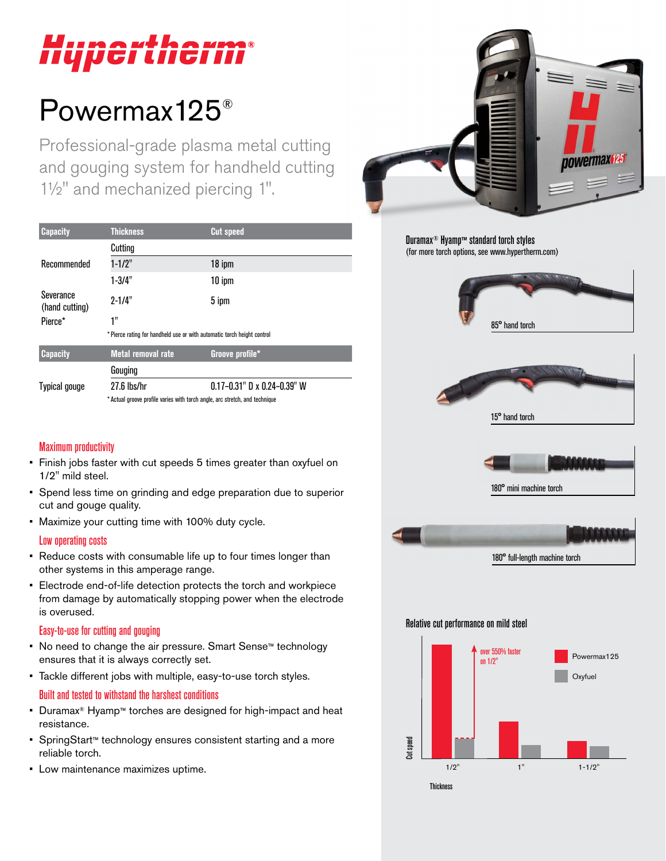# *Uupertherm®*

## Powermax125®

Professional-grade plasma metal cutting and gouging system for handheld cutting 11/2" and mechanized piercing 1".

| <b>Capacity</b>             | <b>Thickness</b>                                                        | <b>Cut speed</b> |  |  |  |  |
|-----------------------------|-------------------------------------------------------------------------|------------------|--|--|--|--|
|                             | Cutting                                                                 |                  |  |  |  |  |
| Recommended                 | $1 - 1/2"$                                                              | 18 ipm           |  |  |  |  |
|                             | $1 - 3/4"$                                                              | $10$ ipm         |  |  |  |  |
| Severance<br>(hand cutting) | $2 - 1/4"$                                                              | 5 ipm            |  |  |  |  |
| Pierce*                     | 1"                                                                      |                  |  |  |  |  |
|                             | * Pierce rating for handheld use or with automatic torch height control |                  |  |  |  |  |
| <b>Capacity</b>             | <b>Metal removal rate</b>                                               | Groove profile*  |  |  |  |  |

#### Maximum productivity

• Finish jobs faster with cut speeds 5 times greater than oxyfuel on 1/2" mild steel.

\*Actual groove profile varies with torch angle, arc stretch, and technique

Typical gouge 27.6 lbs/hr 0.17–0.31" D x 0.24–0.39" W

- Spend less time on grinding and edge preparation due to superior cut and gouge quality.
- Maximize your cutting time with 100% duty cycle.

Gouging

#### Low operating costs

- Reduce costs with consumable life up to four times longer than other systems in this amperage range.
- Electrode end-of-life detection protects the torch and workpiece from damage by automatically stopping power when the electrode is overused.

#### Easy-to-use for cutting and gouging

- No need to change the air pressure. Smart Sense™ technology ensures that it is always correctly set.
- Tackle different jobs with multiple, easy-to-use torch styles.

#### Built and tested to withstand the harshest conditions

- Duramax® Hyamp™ torches are designed for high-impact and heat resistance.
- SpringStart™ technology ensures consistent starting and a more reliable torch.
- Low maintenance maximizes uptime.



Duramax® Hyamp™ standard torch styles (for more torch options, see www.hypertherm.com)







180° mini machine torch



#### Relative cut performance on mild steel

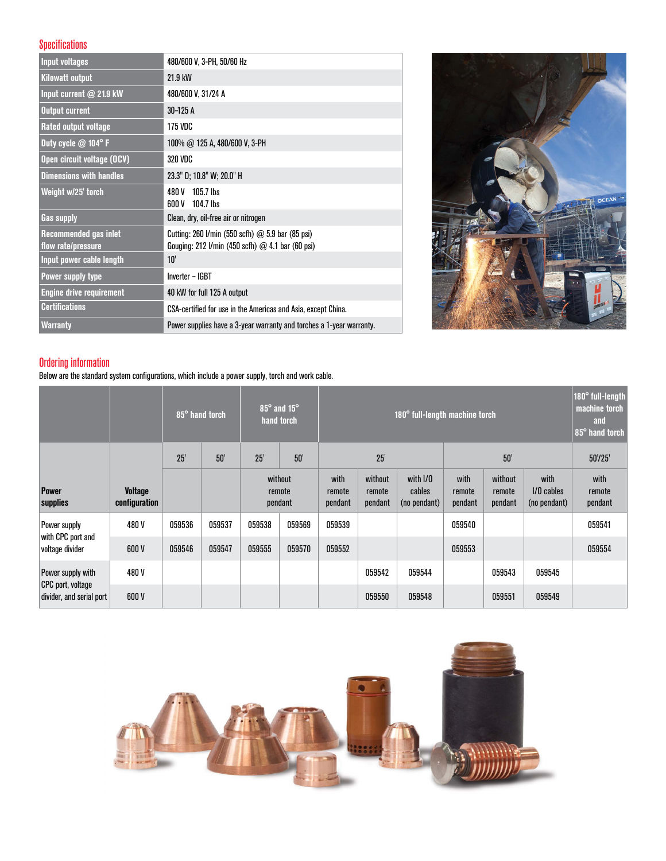#### Specifications

| <b>Input voltages</b>                       | 480/600 V, 3-PH, 50/60 Hz                                                                                |
|---------------------------------------------|----------------------------------------------------------------------------------------------------------|
| <b>Kilowatt output</b>                      | 21.9 kW                                                                                                  |
| Input current @ 21.9 kW                     | 480/600 V, 31/24 A                                                                                       |
| <b>Output current</b>                       | $30 - 125A$                                                                                              |
| Rated output voltage                        | <b>175 VDC</b>                                                                                           |
| Duty cycle $@$ 104 $^{\circ}$ F             | $100\%$ @ 125 A, 480/600 V, 3-PH                                                                         |
| Open circuit voltage (OCV)                  | <b>320 VDC</b>                                                                                           |
| <b>Dimensions with handles</b>              | 23.3" D; 10.8" W; 20.0" H                                                                                |
| Weight w/25' torch                          | 105.7 lbs<br>480 V<br>104.7 lbs<br>600 V                                                                 |
| <b>Gas supply</b>                           | Clean, dry, oil-free air or nitrogen                                                                     |
| Recommended gas inlet<br>flow rate/pressure | Cutting: 260 I/min (550 scfh) $@$ 5.9 bar (85 psi)<br>Gouging: 212 I/min (450 scfh) $@$ 4.1 bar (60 psi) |
| Input power cable length                    | 10'                                                                                                      |
| Power supply type                           | <b>Inverter - IGBT</b>                                                                                   |
| <b>Engine drive requirement</b>             | 40 kW for full 125 A output                                                                              |
| <b>Certifications</b>                       | CSA-certified for use in the Americas and Asia, except China.                                            |
| <b>Warranty</b>                             | Power supplies have a 3-year warranty and torches a 1-year warranty.                                     |



#### Ordering information

Below are the standard system configurations, which include a power supply, torch and work cable.

|                                                                    |                                 |        | 85° hand torch |        | $85^\circ$ and $15^\circ$<br>hand torch           |            |                              | 180° full-length machine torch     | 180° full-length<br>machine torch<br>and<br>85° hand torch |                              |                                      |                           |
|--------------------------------------------------------------------|---------------------------------|--------|----------------|--------|---------------------------------------------------|------------|------------------------------|------------------------------------|------------------------------------------------------------|------------------------------|--------------------------------------|---------------------------|
|                                                                    |                                 | 25'    | 50'            | 25'    | 50'                                               | 25'<br>50' |                              |                                    |                                                            | 50'/25'                      |                                      |                           |
| <b>Power</b><br>supplies                                           | <b>Voltage</b><br>configuration |        |                |        | without<br>remote<br>remote<br>pendant<br>pendant |            | without<br>remote<br>pendant | with I/O<br>cables<br>(no pendant) | with<br>remote<br>pendant                                  | without<br>remote<br>pendant | with<br>$1/0$ cables<br>(no pendant) | with<br>remote<br>pendant |
| Power supply                                                       | 480 V                           | 059536 | 059537         | 059538 | 059569                                            | 059539     |                              |                                    | 059540                                                     |                              |                                      | 059541                    |
| with CPC port and<br>voltage divider                               | 600 V                           | 059546 | 059547         | 059555 | 059570                                            | 059552     |                              |                                    | 059553                                                     |                              |                                      | 059554                    |
| Power supply with<br>CPC port, voltage<br>divider, and serial port | 480 V                           |        |                |        |                                                   |            | 059542                       | 059544                             |                                                            | 059543                       | 059545                               |                           |
|                                                                    | 600 V                           |        |                |        |                                                   |            | 059550                       | 059548                             |                                                            | 059551                       | 059549                               |                           |

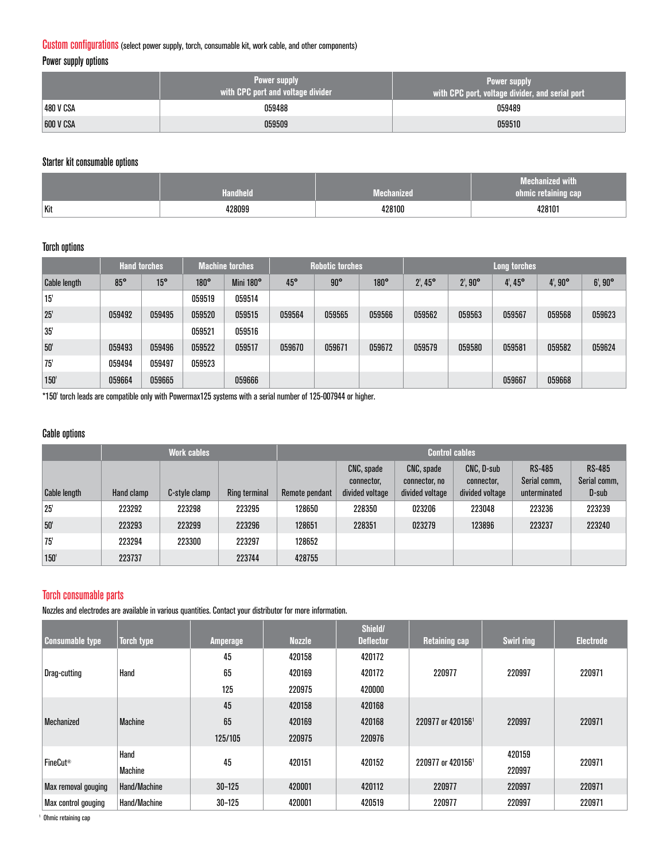#### Custom configurations(select power supply, torch, consumable kit, work cable, and other components)

#### Power supply options

|                  | <b>Power supply</b><br>with CPC port and voltage divider | <b>Power supply</b><br>$\,$ with CPC port, voltage divider, and serial port $^\prime$ |  |  |  |  |
|------------------|----------------------------------------------------------|---------------------------------------------------------------------------------------|--|--|--|--|
| 480 V CSA        | 059488                                                   | 059489                                                                                |  |  |  |  |
| <b>600 V CSA</b> | 059509                                                   | 059510                                                                                |  |  |  |  |

#### Starter kit consumable options

|     | Handheld | Mechanized | m<br>Mechanized with'<br>ohmic retaining cap. |
|-----|----------|------------|-----------------------------------------------|
| Kit | 128099   | 428100     | 428101                                        |

#### Torch options

|                     |              | <b>Hand torches</b> |             | <b>Machine torches</b> |              |            | <b>Robotic torches</b> |                  |                     | <b>Long torches</b> |                     |                   |
|---------------------|--------------|---------------------|-------------|------------------------|--------------|------------|------------------------|------------------|---------------------|---------------------|---------------------|-------------------|
| <b>Cable length</b> | $85^{\circ}$ | $15^{\circ}$        | $180^\circ$ | Mini 180°              | $45^{\circ}$ | $90^\circ$ | $180^\circ$            | $2', 45^{\circ}$ | $2'$ , $90^{\circ}$ | $4'$ , $45^{\circ}$ | $4'$ , $90^{\circ}$ | $6'$ , $90^\circ$ |
| 15'                 |              |                     | 059519      | 059514                 |              |            |                        |                  |                     |                     |                     |                   |
| 25'                 | 059492       | 059495              | 059520      | 059515                 | 059564       | 059565     | 059566                 | 059562           | 059563              | 059567              | 059568              | 059623            |
| 35                  |              |                     | 059521      | 059516                 |              |            |                        |                  |                     |                     |                     |                   |
| 50'                 | 059493       | 059496              | 059522      | 059517                 | 059670       | 059671     | 059672                 | 059579           | 059580              | 059581              | 059582              | 059624            |
| 75'                 | 059494       | 059497              | 059523      |                        |              |            |                        |                  |                     |                     |                     |                   |
| 150'                | 059664       | 059665              |             | 059666                 |              |            |                        |                  |                     | 059667              | 059668              |                   |

\*150' torch leads are compatible only with Powermax125 systems with a serial number of 125-007944 or higher.

#### Cable options

|                     |            | <b>Work cables</b>                    |        |                | <b>Control cables</b>                       |                                                |                                             |                                               |                                           |  |  |  |
|---------------------|------------|---------------------------------------|--------|----------------|---------------------------------------------|------------------------------------------------|---------------------------------------------|-----------------------------------------------|-------------------------------------------|--|--|--|
| <b>Cable length</b> | Hand clamp | C-style clamp<br><b>Ring terminal</b> |        | Remote pendant | CNC, spade<br>connector,<br>divided voltage | CNC, spade<br>connector, no<br>divided voltage | CNC. D-sub<br>connector,<br>divided voltage | <b>RS-485</b><br>Serial comm,<br>unterminated | <b>RS-485</b><br>Serial comm,<br>$D$ -sub |  |  |  |
| 25'                 | 223292     | 223298                                | 223295 | 128650         | 228350                                      | 023206                                         | 223048                                      | 223236                                        | 223239                                    |  |  |  |
| 50'                 | 223293     | 223299                                | 223296 | 128651         | 228351                                      | 023279                                         | 123896                                      | 223237                                        | 223240                                    |  |  |  |
| 75'                 | 223294     | 223300                                | 223297 | 128652         |                                             |                                                |                                             |                                               |                                           |  |  |  |
| 150'                | 223737     |                                       | 223744 | 428755         |                                             |                                                |                                             |                                               |                                           |  |  |  |

#### Torch consumable parts

Nozzles and electrodes are available in various quantities. Contact your distributor for more information.

| <b>Consumable type</b>     | <b>Torch type</b> | <b>Amperage</b> | <b>Nozzle</b> | Shield/<br><b>Deflector</b> | <b>Retaining cap</b> | <b>Swirl ring</b> | <b>Electrode</b> |  |
|----------------------------|-------------------|-----------------|---------------|-----------------------------|----------------------|-------------------|------------------|--|
|                            |                   | 45              | 420158        | 420172                      |                      |                   |                  |  |
| Drag-cutting               | Hand              | 65              | 420169        | 420172                      | 220977               | 220997            | 220971           |  |
|                            |                   | 125             | 220975        | 420000                      |                      |                   |                  |  |
|                            | <b>Machine</b>    | 45              | 420158        | 420168                      |                      | 220997            | 220971           |  |
| Mechanized                 |                   | 65              | 420169        | 420168                      | 220977 or 4201561    |                   |                  |  |
|                            |                   | 125/105         | 220975        | 220976                      |                      |                   |                  |  |
| <b>FineCut®</b>            | Hand              | 45              | 420151        | 420152                      | 220977 or 4201561    | 420159            | 220971           |  |
|                            | <b>Machine</b>    |                 |               |                             |                      | 220997            |                  |  |
| <b>Max removal gouging</b> | Hand/Machine      | $30 - 125$      | 420001        | 420112                      | 220977               | 220997            | 220971           |  |
| Max control gouging        | Hand/Machine      | $30 - 125$      | 420001        | 420519                      | 220977               | 220997            | 220971           |  |

<sup>1</sup> Ohmic retaining cap